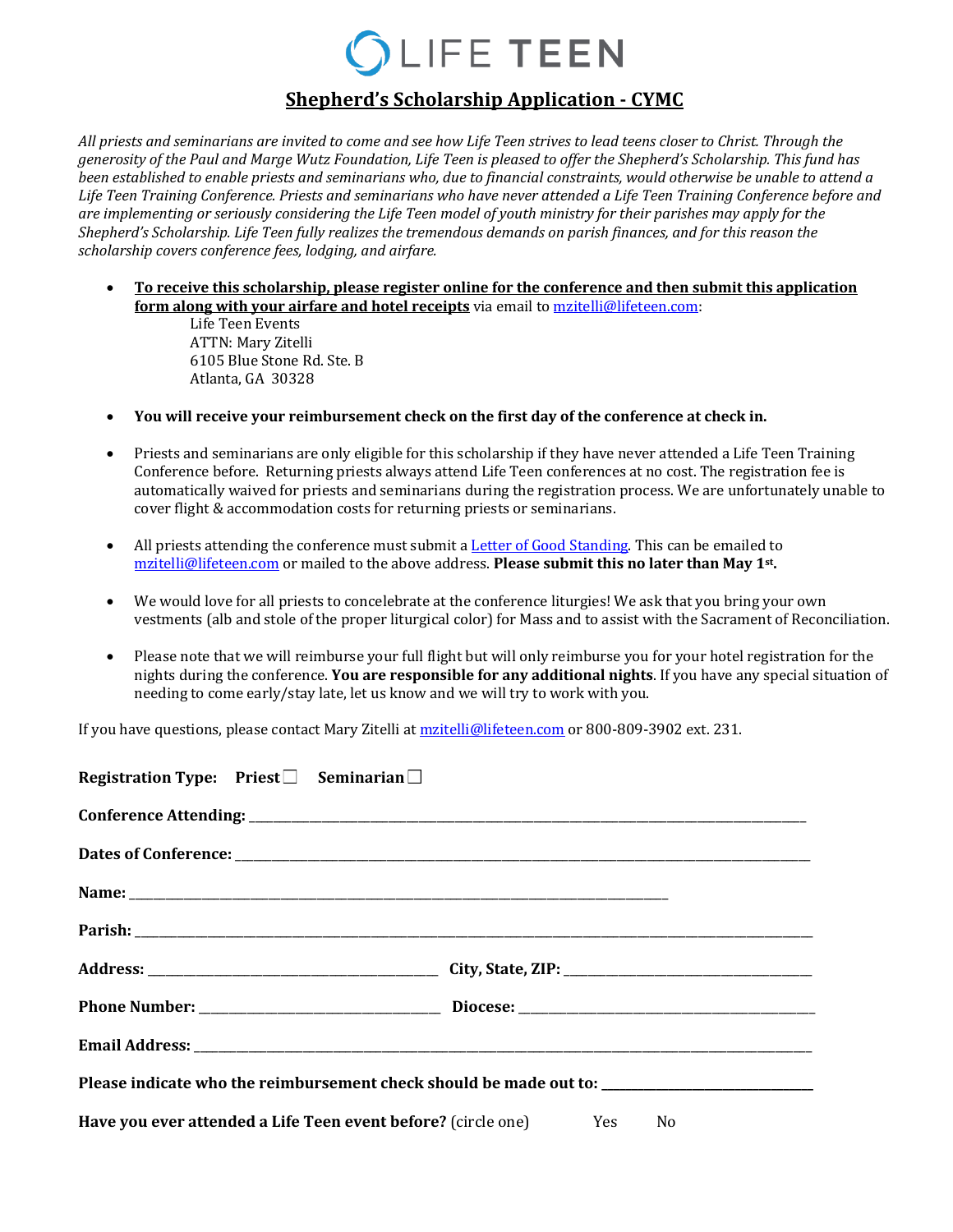## LIFE TEEN

## **Shepherd's Scholarship Application - CYMC**

All priests and seminarians are invited to come and see how Life Teen strives to lead teens closer to Christ. Through the *generosity* of the Paul and Marge Wutz Foundation, Life Teen is pleased to offer the Shepherd's Scholarship. This fund has *been* established to enable priests and seminarians who, due to financial constraints, would otherwise be unable to attend a Life Teen Training Conference. Priests and seminarians who have never attended a Life Teen Training Conference before and are implementing or seriously considering the Life Teen model of youth ministry for their parishes may apply for the Shepherd's Scholarship. Life Teen fully realizes the tremendous demands on parish finances, and for this reason the *scholarship covers conference fees, lodging, and airfare.* 

• To receive this scholarship, please register online for the conference and then submit this application **form along with your airfare and hotel receipts** via email to mzitelli@lifeteen.com:

> Life Teen Events **ATTN: Mary Zitelli** 6105 Blue Stone Rd. Ste. B Atlanta, GA 30328

- You will receive your reimbursement check on the first day of the conference at check in.
- Priests and seminarians are only eligible for this scholarship if they have never attended a Life Teen Training Conference before. Returning priests always attend Life Teen conferences at no cost. The registration fee is automatically waived for priests and seminarians during the registration process. We are unfortunately unable to cover flight & accommodation costs for returning priests or seminarians.
- All priests attending the conference must submit a Letter of Good Standing. This can be emailed to mzitelli@lifeteen.com or mailed to the above address. Please submit this no later than May 1<sup>st</sup>.
- We would love for all priests to concelebrate at the conference liturgies! We ask that you bring your own vestments (alb and stole of the proper liturgical color) for Mass and to assist with the Sacrament of Reconciliation.
- Please note that we will reimburse your full flight but will only reimburse you for your hotel registration for the nights during the conference. You are responsible for any additional nights. If you have any special situation of needing to come early/stay late, let us know and we will try to work with you.

If you have questions, please contact Mary Zitelli at mzitelli@lifeteen.com or 800-809-3902 ext. 231.

| Registration Type: Priest□ Seminarian□                               |                                                                                                      |
|----------------------------------------------------------------------|------------------------------------------------------------------------------------------------------|
|                                                                      |                                                                                                      |
|                                                                      |                                                                                                      |
|                                                                      |                                                                                                      |
|                                                                      |                                                                                                      |
|                                                                      |                                                                                                      |
|                                                                      |                                                                                                      |
|                                                                      |                                                                                                      |
|                                                                      | Please indicate who the reimbursement check should be made out to: _________________________________ |
| Have you ever attended a Life Teen event before? (circle one) Yes No |                                                                                                      |